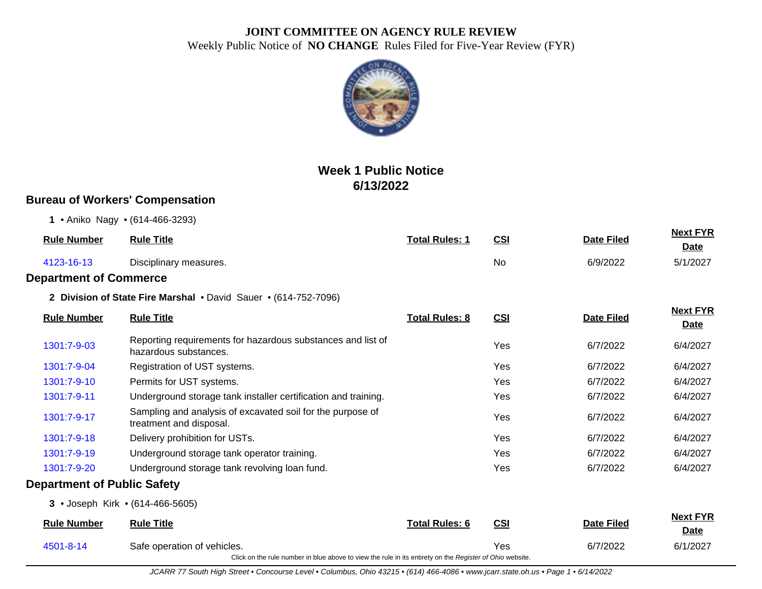

# **Week 1 Public Notice 6/13/2022**

## **Bureau of Workers' Compensation**

**1** • Aniko Nagy • (614-466-3293)

| <b>Rule Number</b> | <b>Rule Title</b>      | <b>Total Rules: 1</b> | <u>CSI</u> | <b>Date Filed</b> | <b>Next FYR</b><br><u>Date</u> |
|--------------------|------------------------|-----------------------|------------|-------------------|--------------------------------|
| 4123-16-13         | Disciplinary measures. |                       | No         | 6/9/2022          | 5/1/2027                       |

#### **Department of Commerce**

**2 Division of State Fire Marshal** • David Sauer • (614-752-7096)

| <b>Rule Number</b>                 | <b>Rule Title</b>                                                                                        | <b>Total Rules: 8</b> | CSI        | <b>Date Filed</b> | <b>Next FYR</b><br><b>Date</b> |
|------------------------------------|----------------------------------------------------------------------------------------------------------|-----------------------|------------|-------------------|--------------------------------|
| 1301:7-9-03                        | Reporting requirements for hazardous substances and list of<br>hazardous substances.                     |                       | Yes        | 6/7/2022          | 6/4/2027                       |
| 1301:7-9-04                        | Registration of UST systems.                                                                             |                       | Yes        | 6/7/2022          | 6/4/2027                       |
| 1301:7-9-10                        | Permits for UST systems.                                                                                 |                       | Yes        | 6/7/2022          | 6/4/2027                       |
| 1301:7-9-11                        | Underground storage tank installer certification and training.                                           |                       | Yes        | 6/7/2022          | 6/4/2027                       |
| 1301:7-9-17                        | Sampling and analysis of excavated soil for the purpose of<br>treatment and disposal.                    |                       | Yes        | 6/7/2022          | 6/4/2027                       |
| 1301:7-9-18                        | Delivery prohibition for USTs.                                                                           |                       | Yes        | 6/7/2022          | 6/4/2027                       |
| 1301:7-9-19                        | Underground storage tank operator training.                                                              |                       | Yes        | 6/7/2022          | 6/4/2027                       |
| 1301:7-9-20                        | Underground storage tank revolving loan fund.                                                            |                       | Yes        | 6/7/2022          | 6/4/2027                       |
| <b>Department of Public Safety</b> |                                                                                                          |                       |            |                   |                                |
|                                    | 3 • Joseph Kirk • (614-466-5605)                                                                         |                       |            |                   |                                |
| <b>Rule Number</b>                 | <b>Rule Title</b>                                                                                        | <b>Total Rules: 6</b> | CSI        | <b>Date Filed</b> | <b>Next FYR</b><br><b>Date</b> |
| 4501-8-14                          | Safe operation of vehicles.                                                                              |                       | <b>Yes</b> | 6/7/2022          | 6/1/2027                       |
|                                    | Click on the rule number in blue above to view the rule in its entirety on the Register of Ohio website. |                       |            |                   |                                |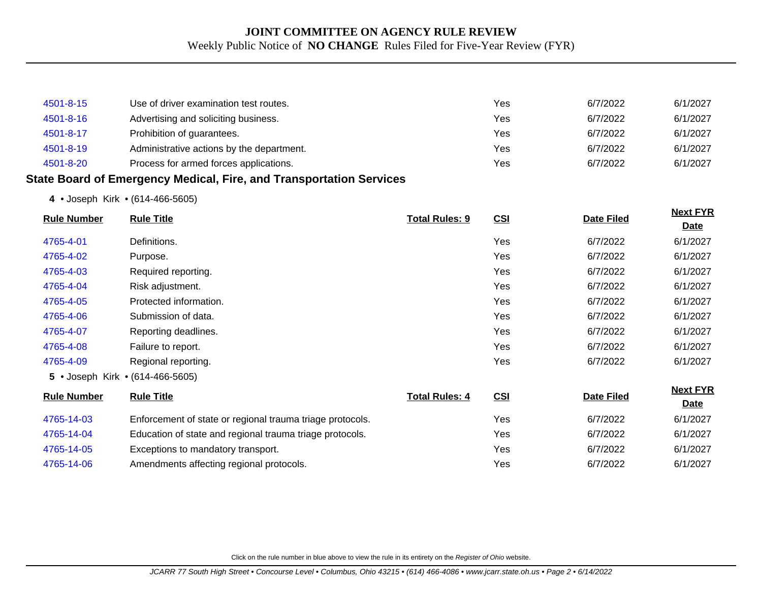| 4501-8-15 | Use of driver examination test routes.    | Yes | 6/7/2022 | 6/1/2027 |
|-----------|-------------------------------------------|-----|----------|----------|
| 4501-8-16 | Advertising and soliciting business.      | Yes | 6/7/2022 | 6/1/2027 |
| 4501-8-17 | Prohibition of guarantees.                | Yes | 6/7/2022 | 6/1/2027 |
| 4501-8-19 | Administrative actions by the department. | Yes | 6/7/2022 | 6/1/2027 |
| 4501-8-20 | Process for armed forces applications.    | Yes | 6/7/2022 | 6/1/2027 |

#### **State Board of Emergency Medical, Fire, and Transportation Services**

**4** • Joseph Kirk • (614-466-5605)

| <b>Rule Number</b> | <b>Rule Title</b>                                         |                       |     |                   | <b>Next FYR</b> |
|--------------------|-----------------------------------------------------------|-----------------------|-----|-------------------|-----------------|
|                    |                                                           | <b>Total Rules: 9</b> | CSI | <b>Date Filed</b> | <b>Date</b>     |
| 4765-4-01          | Definitions.                                              |                       | Yes | 6/7/2022          | 6/1/2027        |
| 4765-4-02          | Purpose.                                                  |                       | Yes | 6/7/2022          | 6/1/2027        |
| 4765-4-03          | Required reporting.                                       |                       | Yes | 6/7/2022          | 6/1/2027        |
| 4765-4-04          | Risk adjustment.                                          |                       | Yes | 6/7/2022          | 6/1/2027        |
| 4765-4-05          | Protected information.                                    |                       | Yes | 6/7/2022          | 6/1/2027        |
| 4765-4-06          | Submission of data.                                       |                       | Yes | 6/7/2022          | 6/1/2027        |
| 4765-4-07          | Reporting deadlines.                                      |                       | Yes | 6/7/2022          | 6/1/2027        |
| 4765-4-08          | Failure to report.                                        |                       | Yes | 6/7/2022          | 6/1/2027        |
| 4765-4-09          | Regional reporting.                                       |                       | Yes | 6/7/2022          | 6/1/2027        |
|                    | 5 • Joseph Kirk • (614-466-5605)                          |                       |     |                   |                 |
| <b>Rule Number</b> | <b>Rule Title</b>                                         | <b>Total Rules: 4</b> | CSI | <b>Date Filed</b> | <b>Next FYR</b> |
|                    |                                                           |                       |     |                   | <b>Date</b>     |
| 4765-14-03         | Enforcement of state or regional trauma triage protocols. |                       | Yes | 6/7/2022          | 6/1/2027        |
| 4765-14-04         | Education of state and regional trauma triage protocols.  |                       | Yes | 6/7/2022          | 6/1/2027        |
| 4765-14-05         | Exceptions to mandatory transport.                        |                       | Yes | 6/7/2022          | 6/1/2027        |
| 4765-14-06         | Amendments affecting regional protocols.                  |                       | Yes | 6/7/2022          | 6/1/2027        |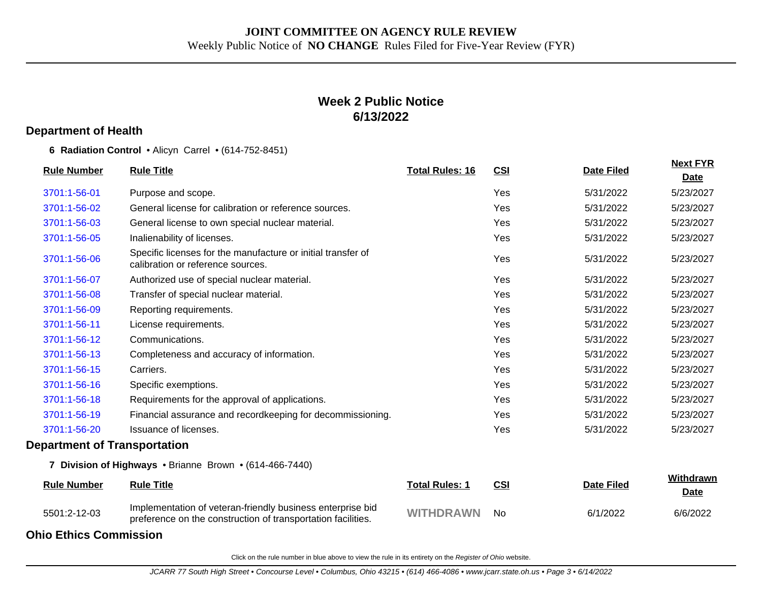## **Week 2 Public Notice 6/13/2022**

#### **Department of Health**

**6 Radiation Control** • Alicyn Carrel • (614-752-8451)

| <b>Rule Number</b>                  | <b>Rule Title</b>                                                                                                          | <b>Total Rules: 16</b> | <b>CSI</b> | <b>Date Filed</b> | <b>Next FYR</b><br><b>Date</b> |
|-------------------------------------|----------------------------------------------------------------------------------------------------------------------------|------------------------|------------|-------------------|--------------------------------|
| 3701:1-56-01                        | Purpose and scope.                                                                                                         |                        | Yes        | 5/31/2022         | 5/23/2027                      |
| 3701:1-56-02                        | General license for calibration or reference sources.                                                                      |                        | Yes        | 5/31/2022         | 5/23/2027                      |
| 3701:1-56-03                        | General license to own special nuclear material.                                                                           |                        | Yes        | 5/31/2022         | 5/23/2027                      |
| 3701:1-56-05                        | Inalienability of licenses.                                                                                                |                        | Yes        | 5/31/2022         | 5/23/2027                      |
| 3701:1-56-06                        | Specific licenses for the manufacture or initial transfer of<br>calibration or reference sources.                          |                        | Yes        | 5/31/2022         | 5/23/2027                      |
| 3701:1-56-07                        | Authorized use of special nuclear material.                                                                                |                        | Yes        | 5/31/2022         | 5/23/2027                      |
| 3701:1-56-08                        | Transfer of special nuclear material.                                                                                      |                        | Yes        | 5/31/2022         | 5/23/2027                      |
| 3701:1-56-09                        | Reporting requirements.                                                                                                    |                        | Yes        | 5/31/2022         | 5/23/2027                      |
| 3701:1-56-11                        | License requirements.                                                                                                      |                        | Yes        | 5/31/2022         | 5/23/2027                      |
| 3701:1-56-12                        | Communications.                                                                                                            |                        | Yes        | 5/31/2022         | 5/23/2027                      |
| 3701:1-56-13                        | Completeness and accuracy of information.                                                                                  |                        | Yes        | 5/31/2022         | 5/23/2027                      |
| 3701:1-56-15                        | Carriers.                                                                                                                  |                        | Yes        | 5/31/2022         | 5/23/2027                      |
| 3701:1-56-16                        | Specific exemptions.                                                                                                       |                        | Yes        | 5/31/2022         | 5/23/2027                      |
| 3701:1-56-18                        | Requirements for the approval of applications.                                                                             |                        | Yes        | 5/31/2022         | 5/23/2027                      |
| 3701:1-56-19                        | Financial assurance and recordkeeping for decommissioning.                                                                 |                        | Yes        | 5/31/2022         | 5/23/2027                      |
| 3701:1-56-20                        | Issuance of licenses.                                                                                                      |                        | Yes        | 5/31/2022         | 5/23/2027                      |
| <b>Department of Transportation</b> |                                                                                                                            |                        |            |                   |                                |
|                                     | 7 Division of Highways . Brianne Brown . (614-466-7440)                                                                    |                        |            |                   |                                |
| <b>Rule Number</b>                  | <b>Rule Title</b>                                                                                                          | <b>Total Rules: 1</b>  | <b>CSI</b> | <b>Date Filed</b> | Withdrawn<br>Date              |
| 5501:2-12-03                        | Implementation of veteran-friendly business enterprise bid<br>preference on the construction of transportation facilities. | <b>WITHDRAWN</b>       | <b>No</b>  | 6/1/2022          | 6/6/2022                       |

**Ohio Ethics Commission**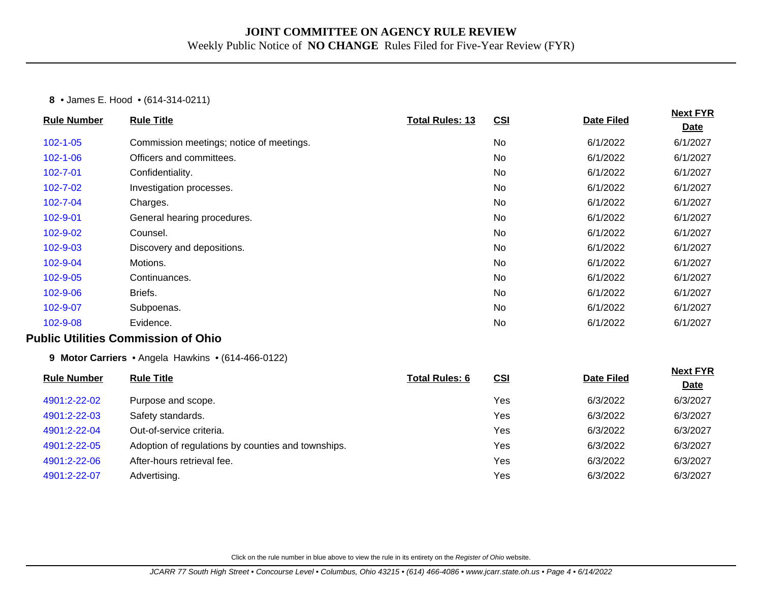#### **8** • James E. Hood • (614-314-0211)

| <b>Rule Number</b> | <b>Rule Title</b>                                  | <b>Total Rules: 13</b> | CSI        | <b>Date Filed</b> | <b>Next FYR</b><br>Date |
|--------------------|----------------------------------------------------|------------------------|------------|-------------------|-------------------------|
| $102 - 1 - 05$     | Commission meetings; notice of meetings.           |                        | No         | 6/1/2022          | 6/1/2027                |
| $102 - 1 - 06$     | Officers and committees.                           |                        | No         | 6/1/2022          | 6/1/2027                |
|                    |                                                    |                        |            |                   |                         |
| 102-7-01           | Confidentiality.                                   |                        | <b>No</b>  | 6/1/2022          | 6/1/2027                |
| $102 - 7 - 02$     | Investigation processes.                           |                        | <b>No</b>  | 6/1/2022          | 6/1/2027                |
| 102-7-04           | Charges.                                           |                        | No         | 6/1/2022          | 6/1/2027                |
| 102-9-01           | General hearing procedures.                        |                        | No         | 6/1/2022          | 6/1/2027                |
| 102-9-02           | Counsel.                                           |                        | No         | 6/1/2022          | 6/1/2027                |
| 102-9-03           | Discovery and depositions.                         |                        | <b>No</b>  | 6/1/2022          | 6/1/2027                |
| 102-9-04           | Motions.                                           |                        | No         | 6/1/2022          | 6/1/2027                |
| 102-9-05           | Continuances.                                      |                        | No         | 6/1/2022          | 6/1/2027                |
| 102-9-06           | Briefs.                                            |                        | No         | 6/1/2022          | 6/1/2027                |
| 102-9-07           | Subpoenas.                                         |                        | <b>No</b>  | 6/1/2022          | 6/1/2027                |
| 102-9-08           | Evidence.                                          |                        | No         | 6/1/2022          | 6/1/2027                |
|                    | <b>Public Utilities Commission of Ohio</b>         |                        |            |                   |                         |
|                    | 9 Motor Carriers • Angela Hawkins • (614-466-0122) |                        |            |                   |                         |
| <b>Rule Number</b> | <b>Rule Title</b>                                  | <b>Total Rules: 6</b>  | <b>CSI</b> | <b>Date Filed</b> | <b>Next FYR</b>         |
|                    |                                                    |                        |            |                   | <b>Date</b>             |
| 4901:2-22-02       | Purpose and scope.                                 |                        | Yes        | 6/3/2022          | 6/3/2027                |
| 4901:2-22-03       | Safety standards.                                  |                        | Yes        | 6/3/2022          | 6/3/2027                |
| 4901:2-22-04       | Out-of-service criteria.                           |                        | Yes        | 6/3/2022          | 6/3/2027                |
| 4901:2-22-05       | Adoption of regulations by counties and townships. |                        | Yes        | 6/3/2022          | 6/3/2027                |
| 4901:2-22-06       | After-hours retrieval fee.                         |                        | Yes        | 6/3/2022          | 6/3/2027                |
| 4901:2-22-07       | Advertising.                                       |                        | Yes        | 6/3/2022          | 6/3/2027                |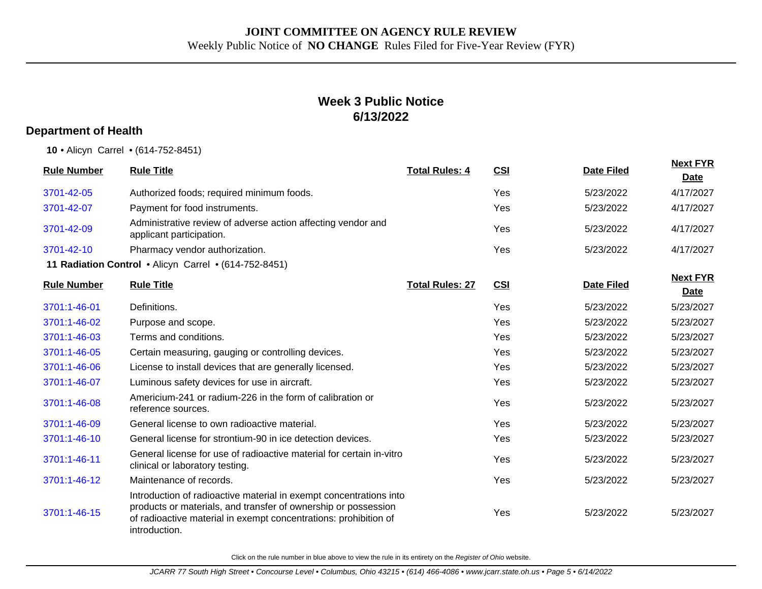# **Week 3 Public Notice 6/13/2022**

#### **Department of Health**

**10** • Alicyn Carrel • (614-752-8451)

| <b>Rule Number</b> | <b>Rule Title</b>                                                                                                                                                                                                         | <b>Total Rules: 4</b>  | <b>CSI</b> | <b>Date Filed</b> | <b>Next FYR</b><br>Date        |
|--------------------|---------------------------------------------------------------------------------------------------------------------------------------------------------------------------------------------------------------------------|------------------------|------------|-------------------|--------------------------------|
| 3701-42-05         | Authorized foods; required minimum foods.                                                                                                                                                                                 |                        | Yes        | 5/23/2022         | 4/17/2027                      |
| 3701-42-07         | Payment for food instruments.                                                                                                                                                                                             |                        | Yes        | 5/23/2022         | 4/17/2027                      |
| 3701-42-09         | Administrative review of adverse action affecting vendor and<br>applicant participation.                                                                                                                                  |                        | Yes        | 5/23/2022         | 4/17/2027                      |
| 3701-42-10         | Pharmacy vendor authorization.                                                                                                                                                                                            |                        | Yes        | 5/23/2022         | 4/17/2027                      |
|                    | 11 Radiation Control . Alicyn Carrel . (614-752-8451)                                                                                                                                                                     |                        |            |                   |                                |
| <b>Rule Number</b> | <b>Rule Title</b>                                                                                                                                                                                                         | <b>Total Rules: 27</b> | CSI        | <b>Date Filed</b> | <b>Next FYR</b><br><b>Date</b> |
| 3701:1-46-01       | Definitions.                                                                                                                                                                                                              |                        | Yes        | 5/23/2022         | 5/23/2027                      |
| 3701:1-46-02       | Purpose and scope.                                                                                                                                                                                                        |                        | Yes        | 5/23/2022         | 5/23/2027                      |
| 3701:1-46-03       | Terms and conditions.                                                                                                                                                                                                     |                        | Yes        | 5/23/2022         | 5/23/2027                      |
| 3701:1-46-05       | Certain measuring, gauging or controlling devices.                                                                                                                                                                        |                        | Yes        | 5/23/2022         | 5/23/2027                      |
| 3701:1-46-06       | License to install devices that are generally licensed.                                                                                                                                                                   |                        | Yes        | 5/23/2022         | 5/23/2027                      |
| 3701:1-46-07       | Luminous safety devices for use in aircraft.                                                                                                                                                                              |                        | Yes        | 5/23/2022         | 5/23/2027                      |
| 3701:1-46-08       | Americium-241 or radium-226 in the form of calibration or<br>reference sources.                                                                                                                                           |                        | Yes        | 5/23/2022         | 5/23/2027                      |
| 3701:1-46-09       | General license to own radioactive material.                                                                                                                                                                              |                        | Yes        | 5/23/2022         | 5/23/2027                      |
| 3701:1-46-10       | General license for strontium-90 in ice detection devices.                                                                                                                                                                |                        | Yes        | 5/23/2022         | 5/23/2027                      |
| 3701:1-46-11       | General license for use of radioactive material for certain in-vitro<br>clinical or laboratory testing.                                                                                                                   |                        | Yes        | 5/23/2022         | 5/23/2027                      |
| 3701:1-46-12       | Maintenance of records.                                                                                                                                                                                                   |                        | Yes        | 5/23/2022         | 5/23/2027                      |
| 3701:1-46-15       | Introduction of radioactive material in exempt concentrations into<br>products or materials, and transfer of ownership or possession<br>of radioactive material in exempt concentrations: prohibition of<br>introduction. |                        | Yes        | 5/23/2022         | 5/23/2027                      |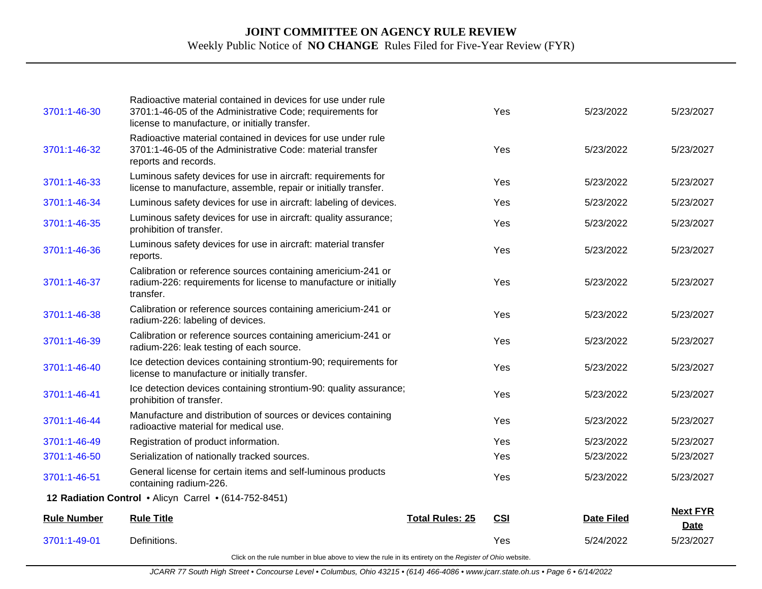| 3701:1-46-30       | Radioactive material contained in devices for use under rule<br>3701:1-46-05 of the Administrative Code; requirements for<br>license to manufacture, or initially transfer. |                        | Yes        | 5/23/2022         | 5/23/2027                      |
|--------------------|-----------------------------------------------------------------------------------------------------------------------------------------------------------------------------|------------------------|------------|-------------------|--------------------------------|
| 3701:1-46-32       | Radioactive material contained in devices for use under rule<br>3701:1-46-05 of the Administrative Code: material transfer<br>reports and records.                          |                        | Yes        | 5/23/2022         | 5/23/2027                      |
| 3701:1-46-33       | Luminous safety devices for use in aircraft: requirements for<br>license to manufacture, assemble, repair or initially transfer.                                            |                        | Yes        | 5/23/2022         | 5/23/2027                      |
| 3701:1-46-34       | Luminous safety devices for use in aircraft: labeling of devices.                                                                                                           |                        | Yes        | 5/23/2022         | 5/23/2027                      |
| 3701:1-46-35       | Luminous safety devices for use in aircraft: quality assurance;<br>prohibition of transfer.                                                                                 |                        | Yes        | 5/23/2022         | 5/23/2027                      |
| 3701:1-46-36       | Luminous safety devices for use in aircraft: material transfer<br>reports.                                                                                                  |                        | Yes        | 5/23/2022         | 5/23/2027                      |
| 3701:1-46-37       | Calibration or reference sources containing americium-241 or<br>radium-226: requirements for license to manufacture or initially<br>transfer.                               |                        | Yes        | 5/23/2022         | 5/23/2027                      |
| 3701:1-46-38       | Calibration or reference sources containing americium-241 or<br>radium-226: labeling of devices.                                                                            |                        | Yes        | 5/23/2022         | 5/23/2027                      |
| 3701:1-46-39       | Calibration or reference sources containing americium-241 or<br>radium-226: leak testing of each source.                                                                    |                        | Yes        | 5/23/2022         | 5/23/2027                      |
| 3701:1-46-40       | Ice detection devices containing strontium-90; requirements for<br>license to manufacture or initially transfer.                                                            |                        | Yes        | 5/23/2022         | 5/23/2027                      |
| 3701:1-46-41       | Ice detection devices containing strontium-90: quality assurance;<br>prohibition of transfer.                                                                               |                        | Yes        | 5/23/2022         | 5/23/2027                      |
| 3701:1-46-44       | Manufacture and distribution of sources or devices containing<br>radioactive material for medical use.                                                                      |                        | Yes        | 5/23/2022         | 5/23/2027                      |
| 3701:1-46-49       | Registration of product information.                                                                                                                                        |                        | Yes        | 5/23/2022         | 5/23/2027                      |
| 3701:1-46-50       | Serialization of nationally tracked sources.                                                                                                                                |                        | Yes        | 5/23/2022         | 5/23/2027                      |
| 3701:1-46-51       | General license for certain items and self-luminous products<br>containing radium-226.                                                                                      |                        | Yes        | 5/23/2022         | 5/23/2027                      |
|                    | 12 Radiation Control • Alicyn Carrel • (614-752-8451)                                                                                                                       |                        |            |                   |                                |
| <b>Rule Number</b> | <b>Rule Title</b>                                                                                                                                                           | <b>Total Rules: 25</b> | <b>CSI</b> | <b>Date Filed</b> | <b>Next FYR</b><br><b>Date</b> |
| 3701:1-49-01       | Definitions.                                                                                                                                                                |                        | Yes        | 5/24/2022         | 5/23/2027                      |
|                    | Click on the rule number in blue above to view the rule in its entirety on the Register of Ohio website.                                                                    |                        |            |                   |                                |

JCARR 77 South High Street • Concourse Level • Columbus, Ohio 43215 • (614) 466-4086 • www.jcarr.state.oh.us • Page 6 • 6/14/2022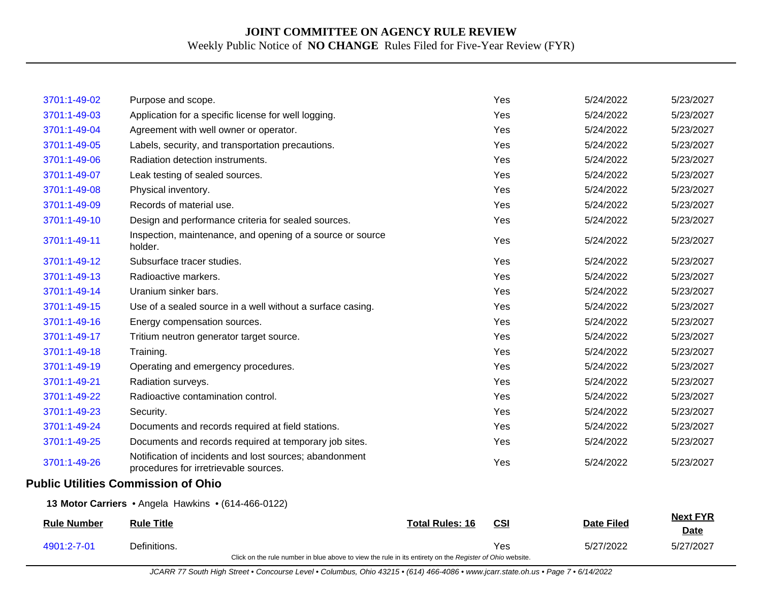| 4901:2-7-01        | Definitions.<br>Click on the rule number in blue above to view the rule in its entirety on the Register of Ohio website. |                        | Yes        | 5/27/2022         | 5/27/2027                      |
|--------------------|--------------------------------------------------------------------------------------------------------------------------|------------------------|------------|-------------------|--------------------------------|
| <b>Rule Number</b> | <b>Rule Title</b>                                                                                                        | <b>Total Rules: 16</b> | <b>CSI</b> | <b>Date Filed</b> | <b>Next FYR</b><br><b>Date</b> |
|                    | 13 Motor Carriers . Angela Hawkins . (614-466-0122)                                                                      |                        |            |                   |                                |
|                    | <b>Public Utilities Commission of Ohio</b>                                                                               |                        |            |                   |                                |
| 3701:1-49-26       | Notification of incidents and lost sources; abandonment<br>procedures for irretrievable sources.                         |                        | Yes        | 5/24/2022         | 5/23/2027                      |
| 3701:1-49-25       | Documents and records required at temporary job sites.                                                                   |                        | Yes        | 5/24/2022         | 5/23/2027                      |
| 3701:1-49-24       | Documents and records required at field stations.                                                                        |                        | Yes        | 5/24/2022         | 5/23/2027                      |
| 3701:1-49-23       | Security.                                                                                                                |                        | Yes        | 5/24/2022         | 5/23/2027                      |
| 3701:1-49-22       | Radioactive contamination control.                                                                                       |                        | Yes        | 5/24/2022         | 5/23/2027                      |
| 3701:1-49-21       | Radiation surveys.                                                                                                       |                        | Yes        | 5/24/2022         | 5/23/2027                      |
| 3701:1-49-19       | Operating and emergency procedures.                                                                                      |                        | Yes        | 5/24/2022         | 5/23/2027                      |
| 3701:1-49-18       | Training.                                                                                                                |                        | Yes        | 5/24/2022         | 5/23/2027                      |
| 3701:1-49-17       | Tritium neutron generator target source.                                                                                 |                        | Yes        | 5/24/2022         | 5/23/2027                      |
| 3701:1-49-16       | Energy compensation sources.                                                                                             |                        | Yes        | 5/24/2022         | 5/23/2027                      |
| 3701:1-49-15       | Use of a sealed source in a well without a surface casing.                                                               |                        | Yes        | 5/24/2022         | 5/23/2027                      |
| 3701:1-49-14       | Uranium sinker bars.                                                                                                     |                        | Yes        | 5/24/2022         | 5/23/2027                      |
| 3701:1-49-13       | Radioactive markers.                                                                                                     |                        | Yes        | 5/24/2022         | 5/23/2027                      |
| 3701:1-49-12       | Subsurface tracer studies.                                                                                               |                        | Yes        | 5/24/2022         | 5/23/2027                      |
| 3701:1-49-11       | Inspection, maintenance, and opening of a source or source<br>holder.                                                    |                        | Yes        | 5/24/2022         | 5/23/2027                      |
| 3701:1-49-10       | Design and performance criteria for sealed sources.                                                                      |                        | Yes        | 5/24/2022         | 5/23/2027                      |
| 3701:1-49-09       | Records of material use.                                                                                                 |                        | Yes        | 5/24/2022         | 5/23/2027                      |
| 3701:1-49-08       | Physical inventory.                                                                                                      |                        | Yes        | 5/24/2022         | 5/23/2027                      |
| 3701:1-49-07       | Leak testing of sealed sources.                                                                                          |                        | Yes        | 5/24/2022         | 5/23/2027                      |
| 3701:1-49-06       | Radiation detection instruments.                                                                                         |                        | Yes        | 5/24/2022         | 5/23/2027                      |
| 3701:1-49-05       | Labels, security, and transportation precautions.                                                                        |                        | Yes        | 5/24/2022         | 5/23/2027                      |
| 3701:1-49-04       | Agreement with well owner or operator.                                                                                   |                        | Yes        | 5/24/2022         | 5/23/2027                      |
| 3701:1-49-03       | Application for a specific license for well logging.                                                                     |                        | Yes        | 5/24/2022         | 5/23/2027                      |
| 3701:1-49-02       | Purpose and scope.                                                                                                       |                        | Yes        | 5/24/2022         | 5/23/2027                      |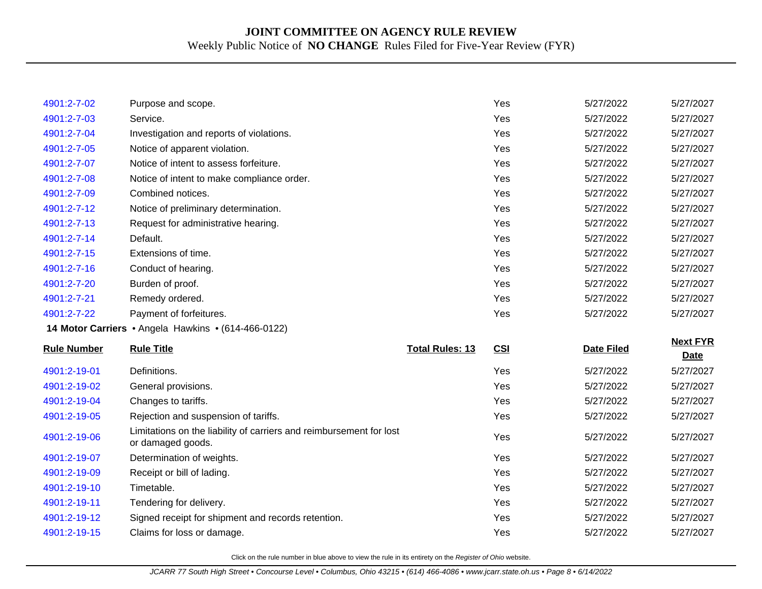| 4901:2-7-02        | Purpose and scope.                                                                       |                        | Yes | 5/27/2022         | 5/27/2027                      |
|--------------------|------------------------------------------------------------------------------------------|------------------------|-----|-------------------|--------------------------------|
| 4901:2-7-03        | Service.                                                                                 |                        | Yes | 5/27/2022         | 5/27/2027                      |
| 4901:2-7-04        | Investigation and reports of violations.                                                 |                        | Yes | 5/27/2022         | 5/27/2027                      |
| 4901:2-7-05        | Notice of apparent violation.                                                            |                        | Yes | 5/27/2022         | 5/27/2027                      |
| 4901:2-7-07        | Notice of intent to assess forfeiture.                                                   |                        | Yes | 5/27/2022         | 5/27/2027                      |
| 4901:2-7-08        | Notice of intent to make compliance order.                                               |                        | Yes | 5/27/2022         | 5/27/2027                      |
| 4901:2-7-09        | Combined notices.                                                                        |                        | Yes | 5/27/2022         | 5/27/2027                      |
| 4901:2-7-12        | Notice of preliminary determination.                                                     |                        | Yes | 5/27/2022         | 5/27/2027                      |
| 4901:2-7-13        | Request for administrative hearing.                                                      |                        | Yes | 5/27/2022         | 5/27/2027                      |
| 4901:2-7-14        | Default.                                                                                 |                        | Yes | 5/27/2022         | 5/27/2027                      |
| 4901:2-7-15        | Extensions of time.                                                                      |                        | Yes | 5/27/2022         | 5/27/2027                      |
| 4901:2-7-16        | Conduct of hearing.                                                                      |                        | Yes | 5/27/2022         | 5/27/2027                      |
| 4901:2-7-20        | Burden of proof.                                                                         |                        | Yes | 5/27/2022         | 5/27/2027                      |
| 4901:2-7-21        | Remedy ordered.                                                                          |                        | Yes | 5/27/2022         | 5/27/2027                      |
| 4901:2-7-22        | Payment of forfeitures.                                                                  |                        | Yes | 5/27/2022         | 5/27/2027                      |
|                    |                                                                                          |                        |     |                   |                                |
|                    | 14 Motor Carriers . Angela Hawkins . (614-466-0122)                                      |                        |     |                   |                                |
| <b>Rule Number</b> | <b>Rule Title</b>                                                                        | <b>Total Rules: 13</b> | CSI | <b>Date Filed</b> | <b>Next FYR</b><br><b>Date</b> |
| 4901:2-19-01       | Definitions.                                                                             |                        | Yes | 5/27/2022         | 5/27/2027                      |
| 4901:2-19-02       | General provisions.                                                                      |                        | Yes | 5/27/2022         | 5/27/2027                      |
| 4901:2-19-04       | Changes to tariffs.                                                                      |                        | Yes | 5/27/2022         | 5/27/2027                      |
| 4901:2-19-05       | Rejection and suspension of tariffs.                                                     |                        | Yes | 5/27/2022         | 5/27/2027                      |
| 4901:2-19-06       | Limitations on the liability of carriers and reimbursement for lost<br>or damaged goods. |                        | Yes | 5/27/2022         | 5/27/2027                      |
| 4901:2-19-07       | Determination of weights.                                                                |                        | Yes | 5/27/2022         | 5/27/2027                      |
| 4901:2-19-09       | Receipt or bill of lading.                                                               |                        | Yes | 5/27/2022         | 5/27/2027                      |
| 4901:2-19-10       | Timetable.                                                                               |                        | Yes | 5/27/2022         | 5/27/2027                      |
| 4901:2-19-11       | Tendering for delivery.                                                                  |                        | Yes | 5/27/2022         | 5/27/2027                      |
| 4901:2-19-12       | Signed receipt for shipment and records retention.                                       |                        | Yes | 5/27/2022         | 5/27/2027                      |
| 4901:2-19-15       | Claims for loss or damage.                                                               |                        | Yes | 5/27/2022         | 5/27/2027                      |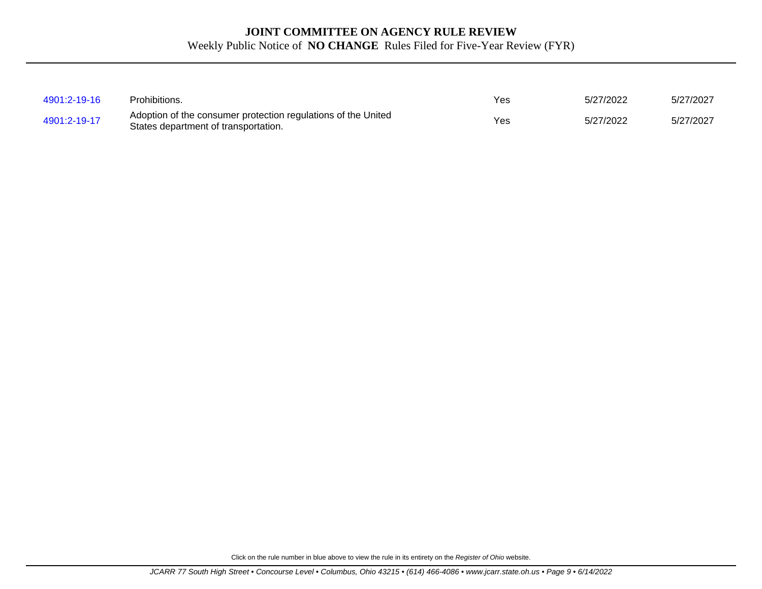| 4901:2-19-16 | Prohibitions.                                                                                         | Yes | 5/27/2022 | 5/27/2027 |
|--------------|-------------------------------------------------------------------------------------------------------|-----|-----------|-----------|
| 4901:2-19-17 | Adoption of the consumer protection regulations of the United<br>States department of transportation. | Yes | 5/27/2022 | 5/27/2027 |